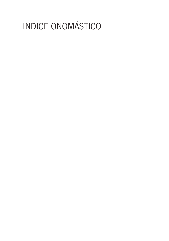# **INDICE ONOMÁSTICO**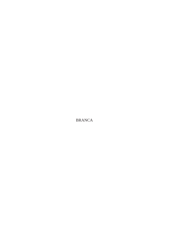**BRANCA**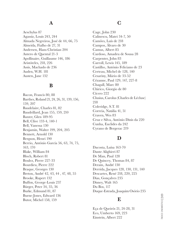### **A**

Aeschylus 87 Agassiz, Louis 243, 244 Almada Negreiros, José de 44, 66, 75 Almeida, Fialho de 27, 31 Andersen, Hans Christian 204 Antero de Quental 21-3 Apollinaire, Guillaume 146, 186 Aristóteles, 218, 226 Assis, Machado de 236 Auden, W.H. 181 Austen, Jane 132

### **B**

Bacon, Francis 80, 88 Barthes, Roland 21, 24, 26, 31, 139, 156, 159, 207 Baudelaire, Charles 81, 82 Baudrillard, Jean 155, 159, 210 Baxter, Glen 189-95 Bell, Clive 133-4, 140-1 Bell, Vanessa 130 Benjamin, Walter 199, 204, 205 Bennett, Arnold 130 Bergson, Henri 190 Berrio, António García 56, 63, 74, 75, 163, 170 Blake, William 84 Bloch, Robert 81 Boulez, Pierre 227-33 Bourdieu, Pierre 222 Braque, Georges 130 Breton, André 42, 43, 44 , 47, 48, 55 Brooke, Rupert 132 Buffon, George-Louis 237 Bürger, Peter 34, 35, 36 Burke, Edmund 81, 87 Burne-Jones, Edward 136 Butor, Michel 158, 159

#### **C**

Cage, John 230 Calinescu, Matei 34-7, 50 Camões, Luís de 218 Campos, Álvaro de 30 Camus, Albert 85 Cardoso, Amadeu de Sousa 28 Carpenter, John 83 Carroll, Lewis 145, 189 Castilho, António Feliciano de 23 Certeau, Michel de 128, 140 Cesariny, Mário de 33-52 Cézanne, Paul 129, 147, 227-8 Chagall, Marc 80 Chirico, Giorgio de 80 Cícero 222 Clusius, Carolus (Charles de Lécluse) 218 Coleridge, S.T. 81 Correia, Natália 41, 51 Craven, Wes 83 Cruz e Silva, António Dinis da 220 Cunha, Euclides da 242 Cyrano de Bergerac 219

## **D**

Dacosta, Luísa 163-70 Dante Alighieri 87 De Man, Paul 128 De Quincey, Thomas 84, 87 Derain, André 130 Derrida, Jacques 128, 130, 131, 140 Descartes, René 218, 220, 225 Dias, Gonçalves 235 Disney, Walt 165 Du Bos, 117 Duque-Estrada, Joaquim Osório 235

## **E**

Eça de Queirós 21, 24-28, 31 Eco, Umberto 169, 223 Einstein, Albert 222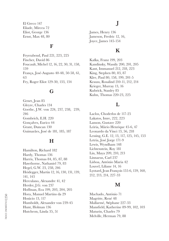El Greco 147 Eliade, Mircea 72 Eliot, George 136 Ernst, Max 48, 80

### **F**

Feyerabend, Paul 221, 223, 225 Fincher, David 86 Foucault, Michel 12, 16, 22, 30, 31, 158, 159 França, José-Augusto 40-48, 50-58, 61, 63 Fry, Roger Eliot 129-30, 133, 134

## **G**

Genet, Jean 85 Gleyre, Charles 134 Goethe, J.W. von 224, 237, 238, 239, 246 Gombrich, E.H. 220 Gonçalves, Eurico 44 Grant, Duncan 130 Guimarães, José de 181, 185, 187

## **H**

Hamilton, Richard 182 Hardy, Thomas 136 Harris, Thomas 84, 85, 87, 88 Hawthorne, Nathaniel 79, 83 Hegel, G.W. 23, 238, 246 Heidegger, Martin 12, 16, 130, 131, 139, 141, 143 Herculano, Alexandre 41, 42 Herder, J.G. von 237 Hoffman, Eva 199, 203, 204, 205 Hora, Manuel Martins da 29 Horácio 13, 117 Humboldt, Alexander von 239-45 Hunt, Holman 136 Hutcheon, Linda 35, 51

# **J**

James, Henry 136 Jameson, Fredric 12, 16, Joyce, James 145-154

## **K**

Kafka, Franz 199, 203 Kandinsky, Wassily 200, 201, 205 Kant, Immanuel 212, 218, 223 King, Stephen 80, 83, 87 Klee, Paul 80, 158, 199, 201-5 Krauss, Rosalind 210-11, 212, 214 Krieger, Murray 13, 16 Kubrick, Stanley 85 Kuhn, Thomas 220-23, 225

# **L**

Laclos, Choderlos de 117-25 Lakatos, Imre, 222, 223 Lanson, Gustave 220 Leiria, Mário Henrique 45-6, 47 Leonardo da Vinci 13, 56, 218 Lessing, G.E. 12, 13, 117, 125, 145, 153 Letria, José Jorge 171-9 Lewis, Wyndham 148 Lichtenstein, Roy 181 Lin, Maya 209, 210, 213 Linnaeus, Carl 237 Lisboa, António Maria 42 Louvel, Liliane 14, 16 Lyotard, Jean François 155-6, 159, 160, 212, 213, 214, 227-33

# **M**

Machado, António 71 Magritte, René 48 Mallarmé, Stéphane 227-33 Mansfield, Katherine 89-99, 102, 103 Maturin, Charles 79 Melville, Herman 79, 88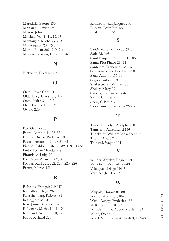Meredith, George 136 Messiaen, Olivier 230 Milton, John 86 Mitchell, W.J.T. 14, 15, 17 Montaigne, Michel de 219 Montesquieu 237, 240 Morin, Edgar 208, 210, 214 Mourão-Ferreira, David 65-76

## **N**

Nietzsche, Friedrich 85

## **O**

Oates, Joyce Carol 80 Oldenburg, Claes 181, 185 Oom, Pedro 34, 42-3 Orta, Garcia de 218, 219 Ovídio 220

## **P**

Paz, Octavio 68 Pedro, António 44, 53-63 Pereira, Duarte Pacheco 218 Pessoa, Fernando 21, 28-31, 39 Picasso, Pablo 44, 56, 80, 82, 129, 145-54 Pinto, Fernão Mendes 219 Pirandello, Luigi 70 Poe, Edgar Allan 79, 82, 86 Popper, Karl 221, 222, 223, 224, 226 Proust, Marcel 131

## **R**

Rabelais, François 219 147 Ramalho Ortigão 26, 31 Rauschenberg, Robert 181 Régio, José 65, 76 Reis, Jaime Batalha 26-7 Riffaterre, Michael 164, 170 Rimbaud, Artur 33, 40, 52 Rorty, Richard 223

Rousseau, Jean Jacques 200 Rubens, Peter Paul 56 Ruskin, John 134

## **S**

Sá-Carneiro, Mário de 28, 39 Sade 85, 146 Saint-Exupéry, Antoine de 205 Santa Rita Pintor 28, 44 Santarém, Francisco 165, 169 Schleiermacher, Friedrich 220 Sena, António 155-60 Sérgio, António 23 Shakespeare, William 135 Shelley, Mary 82 Simões, Francisco 65-76 Sirato, Charles 54 Snow, C.P. 217, 226 Stockhausen, Karlheinz 230, 231

## **T**

Taine, Hippolyte Adolphe 220 Tennyson, Alfred Lord 136 Thackeray, William Makepeace 136 Thevet, André 219 Thibaud, Wayne 184

## **V**

van der Weyden, Rogier 119 Van Gogh, Vincent 127-43 Velázquez, Diego 146-7 Vermeer, Jan 117-25

## **W**

Walpole, Horace 81, 88 Warhol, Andy 181, 184 Watts, George Frederick 136 Welty, Eudora 105-13 Whistler, James Abbott McNeill 134 Wilde, Oscar 86 Woolf, Virginia 89-90, 99-103, 127-43